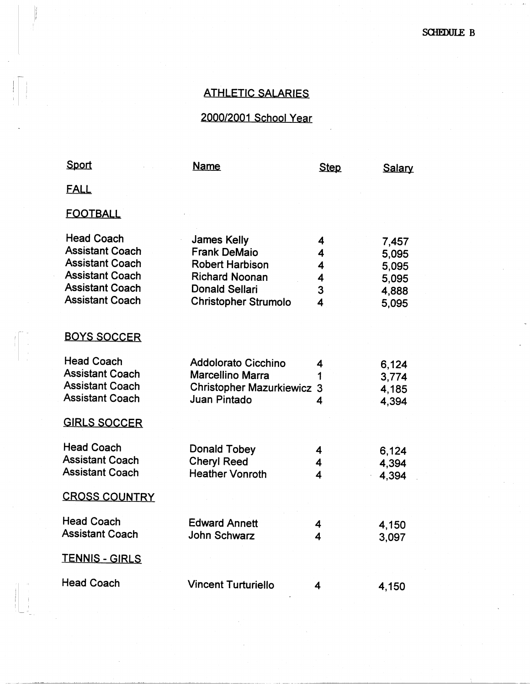## SCHEDULE B

## ATHLETIC SALARIES

I ii I'

I I ! i <sup>I</sup>

 $\begin{bmatrix} 1 & 0 \\ 0 & 1 \\ 0 & 1 \end{bmatrix}$ 

## 200012001 School Year

| Sport                                                                                                                                               | <b>Name</b>                                                                                                                                          | <b>Step</b>                       | Salary                                             |
|-----------------------------------------------------------------------------------------------------------------------------------------------------|------------------------------------------------------------------------------------------------------------------------------------------------------|-----------------------------------|----------------------------------------------------|
| <b>FALL</b>                                                                                                                                         |                                                                                                                                                      |                                   |                                                    |
| <b>FOOTBALL</b>                                                                                                                                     |                                                                                                                                                      |                                   |                                                    |
| <b>Head Coach</b><br><b>Assistant Coach</b><br><b>Assistant Coach</b><br><b>Assistant Coach</b><br><b>Assistant Coach</b><br><b>Assistant Coach</b> | <b>James Kelly</b><br><b>Frank DeMaio</b><br><b>Robert Harbison</b><br><b>Richard Noonan</b><br><b>Donald Sellari</b><br><b>Christopher Strumolo</b> | 4<br>4<br>4<br>4<br>3<br>4        | 7,457<br>5,095<br>5,095<br>5,095<br>4,888<br>5,095 |
| <b>BOYS SOCCER</b>                                                                                                                                  |                                                                                                                                                      |                                   |                                                    |
| <b>Head Coach</b><br><b>Assistant Coach</b><br><b>Assistant Coach</b><br><b>Assistant Coach</b>                                                     | Addolorato Cicchino<br><b>Marcellino Marra</b><br><b>Christopher Mazurkiewicz</b><br>Juan Pintado                                                    | 4<br>1<br>3<br>4                  | 6,124<br>3,774<br>4,185<br>4,394                   |
| <b>GIRLS SOCCER</b>                                                                                                                                 |                                                                                                                                                      |                                   |                                                    |
| <b>Head Coach</b><br><b>Assistant Coach</b><br><b>Assistant Coach</b>                                                                               | <b>Donald Tobey</b><br><b>Cheryl Reed</b><br><b>Heather Vonroth</b>                                                                                  | 4<br>4<br>$\overline{\mathbf{4}}$ | 6,124<br>4,394<br>4,394                            |
| <b>CROSS COUNTRY</b>                                                                                                                                |                                                                                                                                                      |                                   |                                                    |
| <b>Head Coach</b><br><b>Assistant Coach</b>                                                                                                         | <b>Edward Annett</b><br>John Schwarz                                                                                                                 | 4<br>4                            | 4,150<br>3,097                                     |
| <b>TENNIS - GIRLS</b>                                                                                                                               |                                                                                                                                                      |                                   |                                                    |
| <b>Head Coach</b>                                                                                                                                   | <b>Vincent Turturiello</b>                                                                                                                           | 4                                 | 4,150                                              |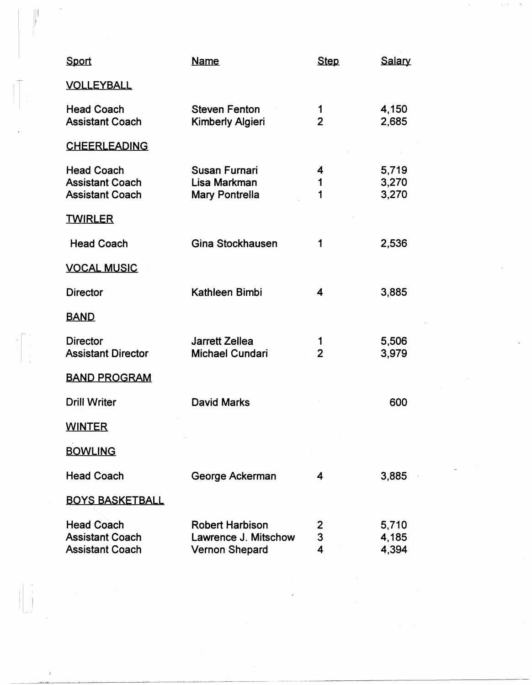| Sport                                                                 | <b>Name</b>                                                             | <b>Step</b>    | Salary                  |
|-----------------------------------------------------------------------|-------------------------------------------------------------------------|----------------|-------------------------|
| <b>VOLLEYBALL</b>                                                     |                                                                         |                |                         |
| <b>Head Coach</b><br><b>Assistant Coach</b>                           | <b>Steven Fenton</b><br><b>Kimberly Algieri</b>                         | $\overline{2}$ | 4,150<br>2,685          |
| <b>CHEERLEADING</b>                                                   |                                                                         |                |                         |
| <b>Head Coach</b><br><b>Assistant Coach</b><br><b>Assistant Coach</b> | Susan Furnari<br>Lisa Markman<br><b>Mary Pontrella</b>                  | 4<br>1<br>1    | 5,719<br>3,270<br>3,270 |
| <b>TWIRLER</b>                                                        |                                                                         |                |                         |
| <b>Head Coach</b>                                                     | <b>Gina Stockhausen</b>                                                 | 1              | 2,536                   |
| <b>VOCAL MUSIC</b>                                                    |                                                                         |                |                         |
| <b>Director</b>                                                       | Kathleen Bimbi                                                          | 4              | 3,885                   |
| <b>BAND</b>                                                           |                                                                         |                |                         |
| <b>Director</b><br><b>Assistant Director</b>                          | <b>Jarrett Zellea</b><br><b>Michael Cundari</b>                         | $\overline{2}$ | 5,506<br>3,979          |
| <b>BAND PROGRAM</b>                                                   |                                                                         |                |                         |
| <b>Drill Writer</b>                                                   | <b>David Marks</b>                                                      |                | 600                     |
| <b>WINTER</b>                                                         |                                                                         |                |                         |
| <b>BOWLING</b>                                                        |                                                                         |                |                         |
| <b>Head Coach</b>                                                     | George Ackerman                                                         | 4              | 3,885                   |
| <b>BOYS BASKETBALL</b>                                                |                                                                         |                |                         |
| <b>Head Coach</b><br><b>Assistant Coach</b><br><b>Assistant Coach</b> | <b>Robert Harbison</b><br>Lawrence J. Mitschow<br><b>Vernon Shepard</b> | 2<br>3<br>4    | 5,710<br>4,185<br>4,394 |
|                                                                       |                                                                         |                |                         |

 $\mathcal{O}(\mathcal{O}(n^2))$  . The contract of the set of the set of the set of the set of the  $\mathcal{O}(\mathcal{O}(n^2))$ 

 $\begin{array}{c} \begin{array}{c} \begin{array}{c} \begin{array}{c} \begin{array}{c} \end{array} \\ \begin{array}{c} \end{array} \\ \begin{array}{c} \end{array} \\ \begin{array}{c} \end{array} \\ \begin{array}{c} \end{array} \\ \begin{array}{c} \end{array} \\ \begin{array}{c} \end{array} \\ \begin{array}{c} \end{array} \\ \begin{array}{c} \end{array} \\ \begin{array}{c} \end{array} \\ \begin{array}{c} \end{array} \\ \begin{array}{c} \end{array} \\ \begin{array}{c} \end{array} \\ \begin{array}{c} \end{array} \\ \begin{array}{c} \end{$ 

 $\hat{\mathcal{L}}$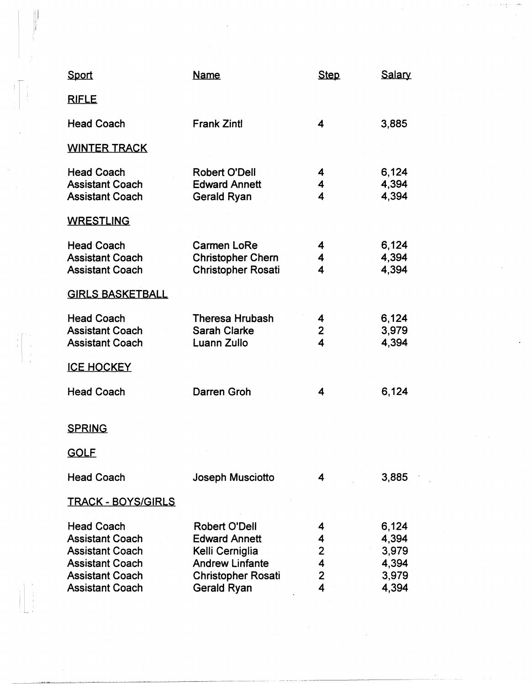| Sport                                                                                                                                               | Name                                                                                                                                         | <b>Step</b>                                                                         | Salary                                             |
|-----------------------------------------------------------------------------------------------------------------------------------------------------|----------------------------------------------------------------------------------------------------------------------------------------------|-------------------------------------------------------------------------------------|----------------------------------------------------|
| <b>RIFLE</b>                                                                                                                                        |                                                                                                                                              |                                                                                     |                                                    |
| <b>Head Coach</b>                                                                                                                                   | <b>Frank Zintl</b>                                                                                                                           | $\overline{\mathbf{4}}$                                                             | 3,885                                              |
| <b>WINTER TRACK</b>                                                                                                                                 |                                                                                                                                              |                                                                                     |                                                    |
| <b>Head Coach</b><br><b>Assistant Coach</b><br><b>Assistant Coach</b>                                                                               | <b>Robert O'Dell</b><br><b>Edward Annett</b><br>Gerald Ryan                                                                                  | 4<br>4<br>4                                                                         | 6,124<br>4,394<br>4,394                            |
| <b>WRESTLING</b>                                                                                                                                    |                                                                                                                                              |                                                                                     |                                                    |
| <b>Head Coach</b><br><b>Assistant Coach</b><br><b>Assistant Coach</b>                                                                               | Carmen LoRe<br><b>Christopher Chern</b><br><b>Christopher Rosati</b>                                                                         | 4<br>4<br>4                                                                         | 6,124<br>4,394<br>4,394                            |
| <b>GIRLS BASKETBALL</b>                                                                                                                             |                                                                                                                                              |                                                                                     |                                                    |
| <b>Head Coach</b><br><b>Assistant Coach</b><br><b>Assistant Coach</b>                                                                               | <b>Theresa Hrubash</b><br><b>Sarah Clarke</b><br>Luann Zullo                                                                                 | 4<br>$\overline{2}$<br>4                                                            | 6,124<br>3,979<br>4,394                            |
| <b>ICE HOCKEY</b>                                                                                                                                   |                                                                                                                                              |                                                                                     |                                                    |
| <b>Head Coach</b>                                                                                                                                   | <b>Darren Groh</b>                                                                                                                           | 4                                                                                   | 6,124                                              |
| <b>SPRING</b>                                                                                                                                       |                                                                                                                                              |                                                                                     |                                                    |
| <b>GOLF</b>                                                                                                                                         |                                                                                                                                              |                                                                                     |                                                    |
| <b>Head Coach</b>                                                                                                                                   | Joseph Musciotto                                                                                                                             | $\overline{\mathbf{4}}$                                                             | 3,885                                              |
| <b>TRACK - BOYS/GIRLS</b>                                                                                                                           |                                                                                                                                              |                                                                                     |                                                    |
| <b>Head Coach</b><br><b>Assistant Coach</b><br><b>Assistant Coach</b><br><b>Assistant Coach</b><br><b>Assistant Coach</b><br><b>Assistant Coach</b> | <b>Robert O'Dell</b><br><b>Edward Annett</b><br>Kelli Cerniglia<br><b>Andrew Linfante</b><br><b>Christopher Rosati</b><br><b>Gerald Ryan</b> | 4<br>4<br>$\overline{2}$<br>$\overline{\mathbf{4}}$<br>$\overline{\mathbf{2}}$<br>4 | 6,124<br>4,394<br>3,979<br>4,394<br>3,979<br>4,394 |

 $\mathcal{A}$ 

 $\begin{array}{c} \begin{array}{c} \begin{array}{c} \begin{array}{c} \end{array} \\ \begin{array}{c} \end{array} \\ \begin{array}{c} \end{array} \end{array} \end{array} \end{array}$ 

 $\begin{array}{c} \begin{array}{c} \begin{array}{c} \begin{array}{c} \end{array} \\ \begin{array}{c} \end{array} \\ \begin{array}{c} \end{array} \\ \begin{array}{c} \end{array} \\ \begin{array}{c} \end{array} \\ \begin{array}{c} \end{array} \\ \begin{array}{c} \end{array} \\ \begin{array}{c} \end{array} \\ \begin{array}{c} \end{array} \\ \begin{array}{c} \end{array} \end{array} \end{array}$